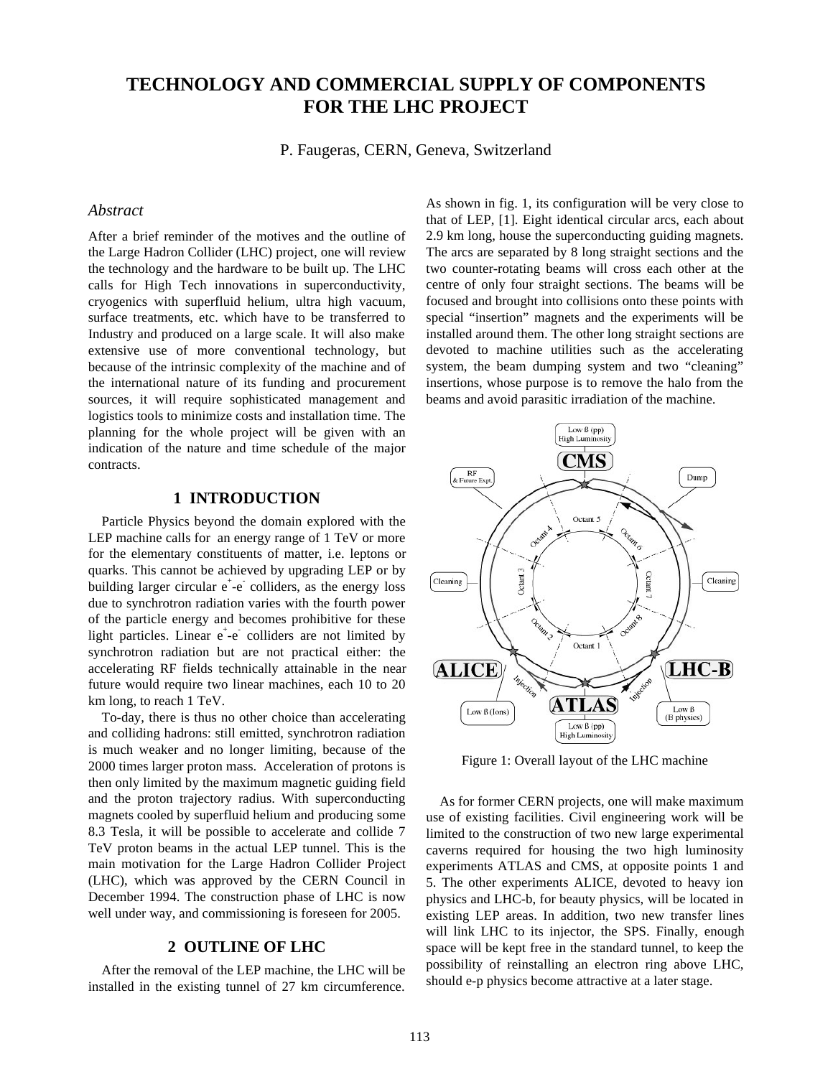# **TECHNOLOGY AND COMMERCIAL SUPPLY OF COMPONENTS FOR THE LHC PROJECT**

P. Faugeras, CERN, Geneva, Switzerland

# *Abstract*

After a brief reminder of the motives and the outline of the Large Hadron Collider (LHC) project, one will review the technology and the hardware to be built up. The LHC calls for High Tech innovations in superconductivity, cryogenics with superfluid helium, ultra high vacuum, surface treatments, etc. which have to be transferred to Industry and produced on a large scale. It will also make extensive use of more conventional technology, but because of the intrinsic complexity of the machine and of the international nature of its funding and procurement sources, it will require sophisticated management and logistics tools to minimize costs and installation time. The planning for the whole project will be given with an indication of the nature and time schedule of the major contracts.

#### **1 INTRODUCTION**

Particle Physics beyond the domain explored with the LEP machine calls for an energy range of 1 TeV or more for the elementary constituents of matter, i.e. leptons or quarks. This cannot be achieved by upgrading LEP or by building larger circular  $e^+e^-$  colliders, as the energy loss due to synchrotron radiation varies with the fourth power of the particle energy and becomes prohibitive for these light particles. Linear  $e^+e^-$  colliders are not limited by synchrotron radiation but are not practical either: the accelerating RF fields technically attainable in the near future would require two linear machines, each 10 to 20 km long, to reach 1 TeV.

To-day, there is thus no other choice than accelerating and colliding hadrons: still emitted, synchrotron radiation is much weaker and no longer limiting, because of the 2000 times larger proton mass. Acceleration of protons is then only limited by the maximum magnetic guiding field and the proton trajectory radius. With superconducting magnets cooled by superfluid helium and producing some 8.3 Tesla, it will be possible to accelerate and collide 7 TeV proton beams in the actual LEP tunnel. This is the main motivation for the Large Hadron Collider Project (LHC), which was approved by the CERN Council in December 1994. The construction phase of LHC is now well under way, and commissioning is foreseen for 2005.

#### **2 OUTLINE OF LHC**

After the removal of the LEP machine, the LHC will be installed in the existing tunnel of 27 km circumference.

As shown in fig. 1, its configuration will be very close to that of LEP, [1]. Eight identical circular arcs, each about 2.9 km long, house the superconducting guiding magnets. The arcs are separated by 8 long straight sections and the two counter-rotating beams will cross each other at the centre of only four straight sections. The beams will be focused and brought into collisions onto these points with special "insertion" magnets and the experiments will be installed around them. The other long straight sections are devoted to machine utilities such as the accelerating system, the beam dumping system and two "cleaning" insertions, whose purpose is to remove the halo from the beams and avoid parasitic irradiation of the machine.



Figure 1: Overall layout of the LHC machine

As for former CERN projects, one will make maximum use of existing facilities. Civil engineering work will be limited to the construction of two new large experimental caverns required for housing the two high luminosity experiments ATLAS and CMS, at opposite points 1 and 5. The other experiments ALICE, devoted to heavy ion physics and LHC-b, for beauty physics, will be located in existing LEP areas. In addition, two new transfer lines will link LHC to its injector, the SPS. Finally, enough space will be kept free in the standard tunnel, to keep the possibility of reinstalling an electron ring above LHC, should e-p physics become attractive at a later stage.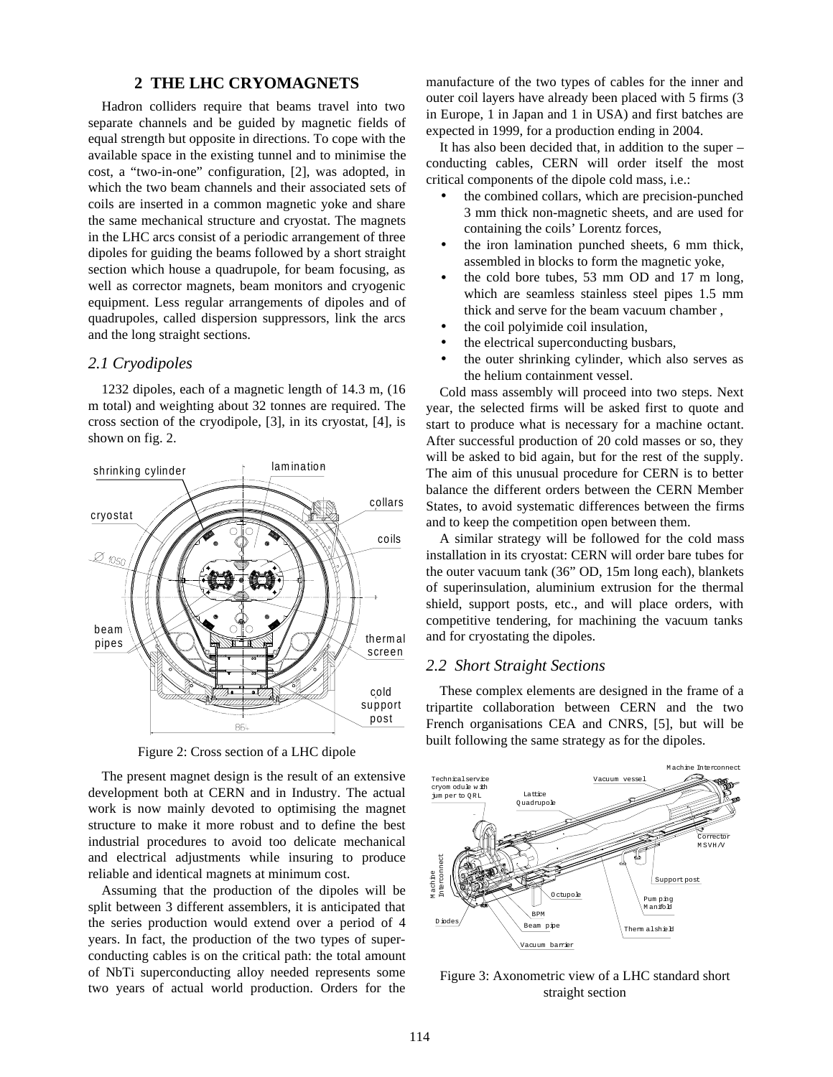# **2 THE LHC CRYOMAGNETS**

Hadron colliders require that beams travel into two separate channels and be guided by magnetic fields of equal strength but opposite in directions. To cope with the available space in the existing tunnel and to minimise the cost, a "two-in-one" configuration, [2], was adopted, in which the two beam channels and their associated sets of coils are inserted in a common magnetic yoke and share the same mechanical structure and cryostat. The magnets in the LHC arcs consist of a periodic arrangement of three dipoles for guiding the beams followed by a short straight section which house a quadrupole, for beam focusing, as well as corrector magnets, beam monitors and cryogenic equipment. Less regular arrangements of dipoles and of quadrupoles, called dispersion suppressors, link the arcs and the long straight sections.

#### *2.1 Cryodipoles*

1232 dipoles, each of a magnetic length of 14.3 m, (16 m total) and weighting about 32 tonnes are required. The cross section of the cryodipole, [3], in its cryostat, [4], is shown on fig. 2.



Figure 2: Cross section of a LHC dipole

The present magnet design is the result of an extensive development both at CERN and in Industry. The actual work is now mainly devoted to optimising the magnet structure to make it more robust and to define the best industrial procedures to avoid too delicate mechanical and electrical adjustments while insuring to produce reliable and identical magnets at minimum cost.

Assuming that the production of the dipoles will be split between 3 different assemblers, it is anticipated that the series production would extend over a period of 4 years. In fact, the production of the two types of superconducting cables is on the critical path: the total amount of NbTi superconducting alloy needed represents some two years of actual world production. Orders for the

manufacture of the two types of cables for the inner and outer coil layers have already been placed with 5 firms (3 in Europe, 1 in Japan and 1 in USA) and first batches are expected in 1999, for a production ending in 2004.

It has also been decided that, in addition to the super – conducting cables, CERN will order itself the most critical components of the dipole cold mass, i.e.:

- the combined collars, which are precision-punched 3 mm thick non-magnetic sheets, and are used for containing the coils' Lorentz forces,
- the iron lamination punched sheets, 6 mm thick, assembled in blocks to form the magnetic yoke,
- the cold bore tubes, 53 mm OD and 17 m long, which are seamless stainless steel pipes 1.5 mm thick and serve for the beam vacuum chamber ,
- the coil polyimide coil insulation,
- the electrical superconducting busbars,
- the outer shrinking cylinder, which also serves as the helium containment vessel.

Cold mass assembly will proceed into two steps. Next year, the selected firms will be asked first to quote and start to produce what is necessary for a machine octant. After successful production of 20 cold masses or so, they will be asked to bid again, but for the rest of the supply. The aim of this unusual procedure for CERN is to better balance the different orders between the CERN Member States, to avoid systematic differences between the firms and to keep the competition open between them.

A similar strategy will be followed for the cold mass installation in its cryostat: CERN will order bare tubes for the outer vacuum tank (36" OD, 15m long each), blankets of superinsulation, aluminium extrusion for the thermal shield, support posts, etc., and will place orders, with competitive tendering, for machining the vacuum tanks and for cryostating the dipoles.

#### *2.2 Short Straight Sections*

These complex elements are designed in the frame of a tripartite collaboration between CERN and the two French organisations CEA and CNRS, [5], but will be built following the same strategy as for the dipoles.



Figure 3: Axonometric view of a LHC standard short straight section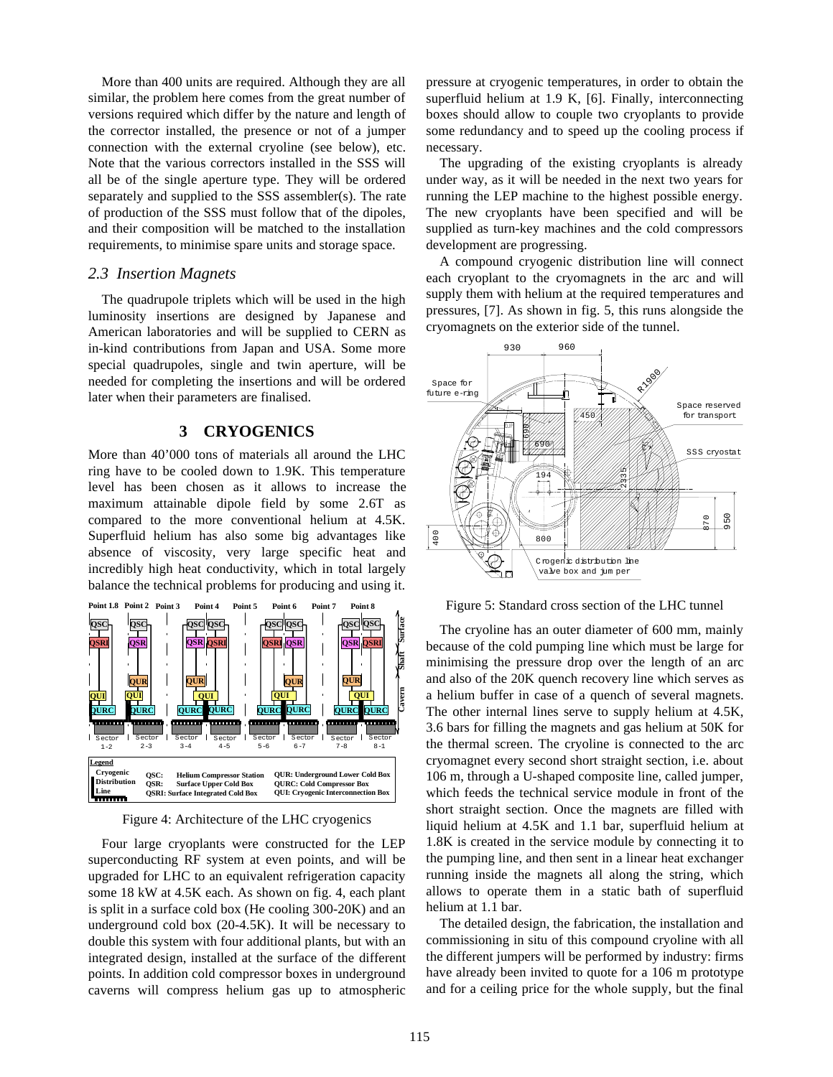More than 400 units are required. Although they are all similar, the problem here comes from the great number of versions required which differ by the nature and length of the corrector installed, the presence or not of a jumper connection with the external cryoline (see below), etc. Note that the various correctors installed in the SSS will all be of the single aperture type. They will be ordered separately and supplied to the SSS assembler(s). The rate of production of the SSS must follow that of the dipoles, and their composition will be matched to the installation requirements, to minimise spare units and storage space.

#### *2.3 Insertion Magnets*

The quadrupole triplets which will be used in the high luminosity insertions are designed by Japanese and American laboratories and will be supplied to CERN as in-kind contributions from Japan and USA. Some more special quadrupoles, single and twin aperture, will be needed for completing the insertions and will be ordered later when their parameters are finalised.

#### **3 CRYOGENICS**

More than 40'000 tons of materials all around the LHC ring have to be cooled down to 1.9K. This temperature level has been chosen as it allows to increase the maximum attainable dipole field by some 2.6T as compared to the more conventional helium at 4.5K. Superfluid helium has also some big advantages like absence of viscosity, very large specific heat and incredibly high heat conductivity, which in total largely balance the technical problems for producing and using it.



Figure 4: Architecture of the LHC cryogenics

Four large cryoplants were constructed for the LEP superconducting RF system at even points, and will be upgraded for LHC to an equivalent refrigeration capacity some 18 kW at 4.5K each. As shown on fig. 4, each plant is split in a surface cold box (He cooling 300-20K) and an underground cold box (20-4.5K). It will be necessary to double this system with four additional plants, but with an integrated design, installed at the surface of the different points. In addition cold compressor boxes in underground caverns will compress helium gas up to atmospheric

pressure at cryogenic temperatures, in order to obtain the superfluid helium at 1.9 K, [6]. Finally, interconnecting boxes should allow to couple two cryoplants to provide some redundancy and to speed up the cooling process if necessary.

The upgrading of the existing cryoplants is already under way, as it will be needed in the next two years for running the LEP machine to the highest possible energy. The new cryoplants have been specified and will be supplied as turn-key machines and the cold compressors development are progressing.

A compound cryogenic distribution line will connect each cryoplant to the cryomagnets in the arc and will supply them with helium at the required temperatures and pressures, [7]. As shown in fig. 5, this runs alongside the cryomagnets on the exterior side of the tunnel.



Figure 5: Standard cross section of the LHC tunnel

The cryoline has an outer diameter of 600 mm, mainly because of the cold pumping line which must be large for minimising the pressure drop over the length of an arc and also of the 20K quench recovery line which serves as a helium buffer in case of a quench of several magnets. The other internal lines serve to supply helium at 4.5K, 3.6 bars for filling the magnets and gas helium at 50K for the thermal screen. The cryoline is connected to the arc cryomagnet every second short straight section, i.e. about 106 m, through a U-shaped composite line, called jumper, which feeds the technical service module in front of the short straight section. Once the magnets are filled with liquid helium at 4.5K and 1.1 bar, superfluid helium at 1.8K is created in the service module by connecting it to the pumping line, and then sent in a linear heat exchanger running inside the magnets all along the string, which allows to operate them in a static bath of superfluid helium at 1.1 bar.

The detailed design, the fabrication, the installation and commissioning in situ of this compound cryoline with all the different jumpers will be performed by industry: firms have already been invited to quote for a 106 m prototype and for a ceiling price for the whole supply, but the final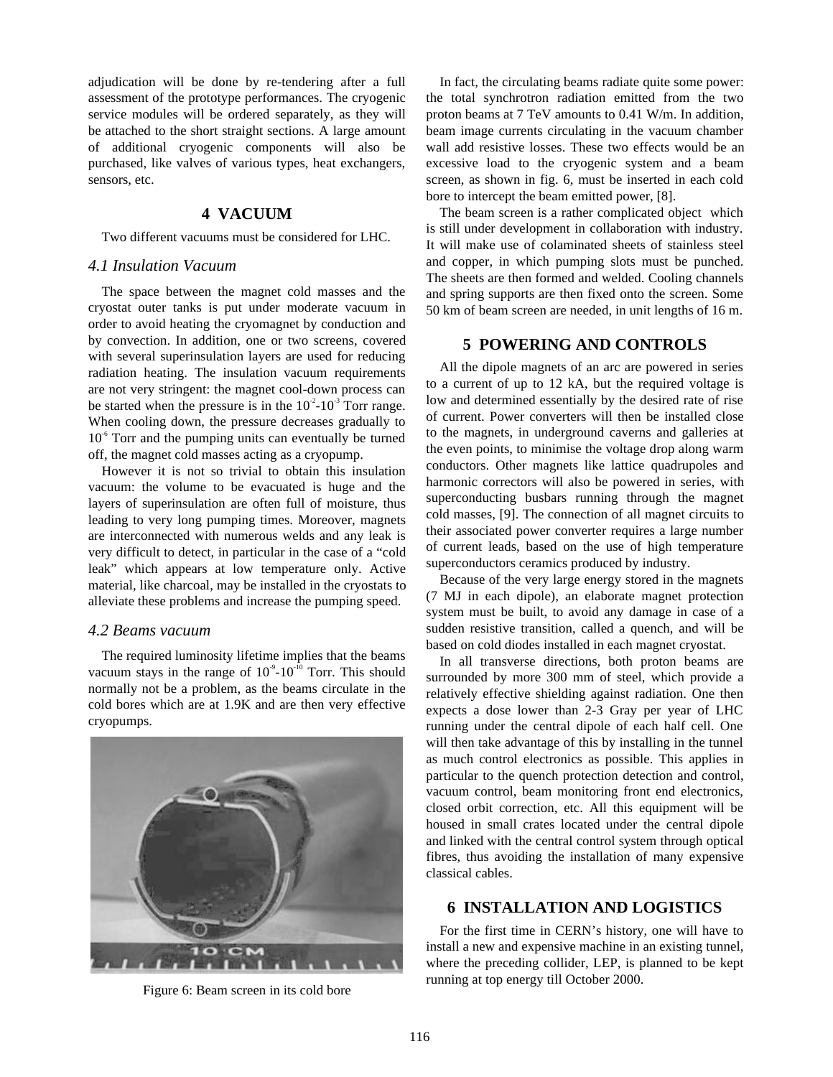adjudication will be done by re-tendering after a full assessment of the prototype performances. The cryogenic service modules will be ordered separately, as they will be attached to the short straight sections. A large amount of additional cryogenic components will also be purchased, like valves of various types, heat exchangers, sensors, etc.

#### **4 VACUUM**

Two different vacuums must be considered for LHC.

#### *4.1 Insulation Vacuum*

The space between the magnet cold masses and the cryostat outer tanks is put under moderate vacuum in order to avoid heating the cryomagnet by conduction and by convection. In addition, one or two screens, covered with several superinsulation layers are used for reducing radiation heating. The insulation vacuum requirements are not very stringent: the magnet cool-down process can be started when the pressure is in the  $10^{-2}$ - $10^{-3}$  Torr range. When cooling down, the pressure decreases gradually to  $10<sup>-6</sup>$  Torr and the pumping units can eventually be turned off, the magnet cold masses acting as a cryopump.

However it is not so trivial to obtain this insulation vacuum: the volume to be evacuated is huge and the layers of superinsulation are often full of moisture, thus leading to very long pumping times. Moreover, magnets are interconnected with numerous welds and any leak is very difficult to detect, in particular in the case of a "cold leak" which appears at low temperature only. Active material, like charcoal, may be installed in the cryostats to alleviate these problems and increase the pumping speed.

# *4.2 Beams vacuum*

The required luminosity lifetime implies that the beams vacuum stays in the range of  $10^{\degree}$ - $10^{\degree}$  Torr. This should normally not be a problem, as the beams circulate in the cold bores which are at 1.9K and are then very effective cryopumps.



Figure 6: Beam screen in its cold bore

In fact, the circulating beams radiate quite some power: the total synchrotron radiation emitted from the two proton beams at 7 TeV amounts to 0.41 W/m. In addition, beam image currents circulating in the vacuum chamber wall add resistive losses. These two effects would be an excessive load to the cryogenic system and a beam screen, as shown in fig. 6, must be inserted in each cold bore to intercept the beam emitted power, [8].

The beam screen is a rather complicated object which is still under development in collaboration with industry. It will make use of colaminated sheets of stainless steel and copper, in which pumping slots must be punched. The sheets are then formed and welded. Cooling channels and spring supports are then fixed onto the screen. Some 50 km of beam screen are needed, in unit lengths of 16 m.

### **5 POWERING AND CONTROLS**

All the dipole magnets of an arc are powered in series to a current of up to 12 kA, but the required voltage is low and determined essentially by the desired rate of rise of current. Power converters will then be installed close to the magnets, in underground caverns and galleries at the even points, to minimise the voltage drop along warm conductors. Other magnets like lattice quadrupoles and harmonic correctors will also be powered in series, with superconducting busbars running through the magnet cold masses, [9]. The connection of all magnet circuits to their associated power converter requires a large number of current leads, based on the use of high temperature superconductors ceramics produced by industry.

Because of the very large energy stored in the magnets (7 MJ in each dipole), an elaborate magnet protection system must be built, to avoid any damage in case of a sudden resistive transition, called a quench, and will be based on cold diodes installed in each magnet cryostat.

In all transverse directions, both proton beams are surrounded by more 300 mm of steel, which provide a relatively effective shielding against radiation. One then expects a dose lower than 2-3 Gray per year of LHC running under the central dipole of each half cell. One will then take advantage of this by installing in the tunnel as much control electronics as possible. This applies in particular to the quench protection detection and control, vacuum control, beam monitoring front end electronics, closed orbit correction, etc. All this equipment will be housed in small crates located under the central dipole and linked with the central control system through optical fibres, thus avoiding the installation of many expensive classical cables.

# **6 INSTALLATION AND LOGISTICS**

For the first time in CERN's history, one will have to install a new and expensive machine in an existing tunnel, where the preceding collider, LEP, is planned to be kept running at top energy till October 2000.